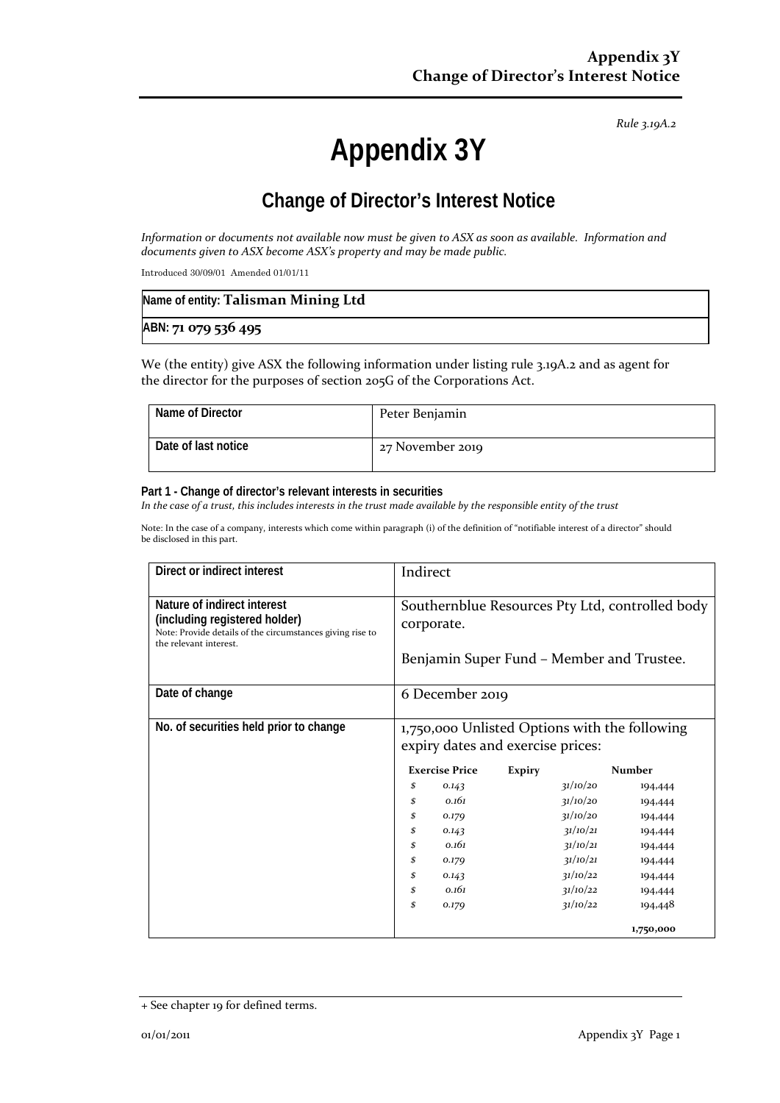*Rule 3.19A.2*

# **Appendix 3Y**

# **Change of Director's Interest Notice**

*Information or documents not available now must be given to ASX as soon as available. Information and documents given to ASX become ASX's property and may be made public.*

Introduced 30/09/01 Amended 01/01/11

| Name of entity: Talisman Mining Ltd |  |
|-------------------------------------|--|
| ABN: 71 079 536 495                 |  |

We (the entity) give ASX the following information under listing rule 3.19A.2 and as agent for the director for the purposes of section 205G of the Corporations Act.

| Name of Director    | Peter Benjamin   |
|---------------------|------------------|
| Date of last notice | 27 November 2019 |

#### **Part 1 - Change of director's relevant interests in securities**

*In the case of a trust, this includes interests in the trust made available by the responsible entity of the trust*

Note: In the case of a company, interests which come within paragraph (i) of the definition of "notifiable interest of a director" should be disclosed in this part.

| Direct or indirect interest                                                                                                                         | Indirect                                                                           |                                                                                              |               |
|-----------------------------------------------------------------------------------------------------------------------------------------------------|------------------------------------------------------------------------------------|----------------------------------------------------------------------------------------------|---------------|
| Nature of indirect interest<br>(including registered holder)<br>Note: Provide details of the circumstances giving rise to<br>the relevant interest. | corporate.                                                                         | Southernblue Resources Pty Ltd, controlled body<br>Benjamin Super Fund – Member and Trustee. |               |
| Date of change                                                                                                                                      | 6 December 2019                                                                    |                                                                                              |               |
| No. of securities held prior to change                                                                                                              | 1,750,000 Unlisted Options with the following<br>expiry dates and exercise prices: |                                                                                              |               |
|                                                                                                                                                     | <b>Exercise Price</b>                                                              | <b>Expiry</b>                                                                                | <b>Number</b> |
|                                                                                                                                                     | \$<br>0.143                                                                        | 31/10/20                                                                                     | 194,444       |
|                                                                                                                                                     | 0.161<br>\$                                                                        | 31/10/20                                                                                     | 194,444       |
|                                                                                                                                                     | \$<br>0.179                                                                        | 31/10/20                                                                                     | 194,444       |
|                                                                                                                                                     | \$<br>0.143                                                                        | 31/10/21                                                                                     | 194,444       |
|                                                                                                                                                     | 0.161<br>\$                                                                        | 31/10/21                                                                                     | 194,444       |
|                                                                                                                                                     | \$<br>0.179                                                                        | 31/10/21                                                                                     | 194,444       |
|                                                                                                                                                     | \$<br>0.143                                                                        | 31/10/22                                                                                     | 194,444       |
|                                                                                                                                                     | 0.161<br>\$                                                                        | 31/10/22                                                                                     | 194,444       |
|                                                                                                                                                     | \$<br>0.179                                                                        | 31/10/22                                                                                     | 194,448       |
|                                                                                                                                                     |                                                                                    |                                                                                              | 1,750,000     |

<sup>+</sup> See chapter 19 for defined terms.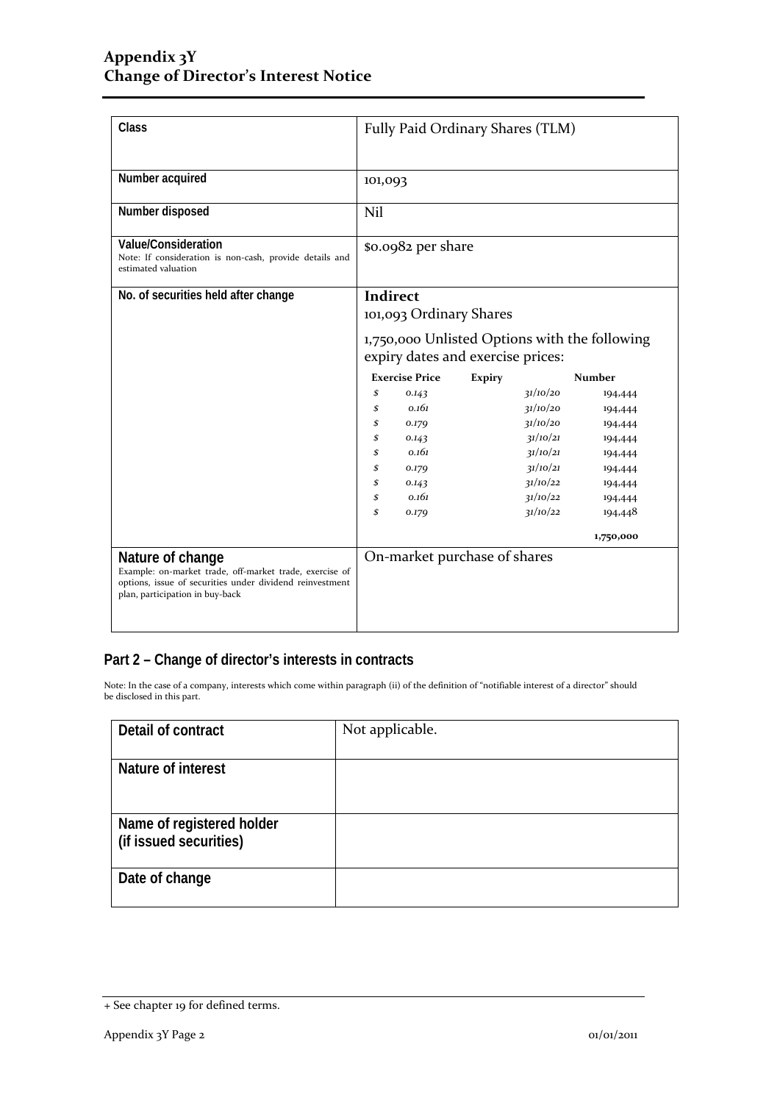| Class                                                                                                                                                                      | Fully Paid Ordinary Shares (TLM)                                                                                                 |                              |               |                      |                    |
|----------------------------------------------------------------------------------------------------------------------------------------------------------------------------|----------------------------------------------------------------------------------------------------------------------------------|------------------------------|---------------|----------------------|--------------------|
| Number acquired                                                                                                                                                            | 101,093                                                                                                                          |                              |               |                      |                    |
| Number disposed                                                                                                                                                            | Nil                                                                                                                              |                              |               |                      |                    |
| Value/Consideration<br>Note: If consideration is non-cash, provide details and<br>estimated valuation                                                                      |                                                                                                                                  | \$0.0982 per share           |               |                      |                    |
| No. of securities held after change                                                                                                                                        | <b>Indirect</b><br>101,093 Ordinary Shares<br>1,750,000 Unlisted Options with the following<br>expiry dates and exercise prices: |                              |               |                      |                    |
|                                                                                                                                                                            | <b>Exercise Price</b>                                                                                                            |                              |               |                      |                    |
|                                                                                                                                                                            |                                                                                                                                  |                              | <b>Expiry</b> |                      | <b>Number</b>      |
|                                                                                                                                                                            | \$<br>\$                                                                                                                         | 0.143<br>0.161               |               | 31/10/20<br>31/10/20 | 194,444            |
|                                                                                                                                                                            | \$                                                                                                                               |                              |               | 31/10/20             | 194,444            |
|                                                                                                                                                                            | \$                                                                                                                               | 0.179<br>0.143               |               | 31/10/21             | 194,444<br>194,444 |
|                                                                                                                                                                            | \$                                                                                                                               | 0.161                        |               | 31/10/21             |                    |
|                                                                                                                                                                            | \$                                                                                                                               | 0.179                        |               | 31/10/21             | 194,444<br>194,444 |
|                                                                                                                                                                            | \$                                                                                                                               | 0.143                        |               | 31/10/22             | 194,444            |
|                                                                                                                                                                            | \$                                                                                                                               | 0.161                        |               | 31/10/22             | 194,444            |
|                                                                                                                                                                            | \$                                                                                                                               | 0.179                        |               | 31/10/22             | 194,448            |
|                                                                                                                                                                            |                                                                                                                                  |                              |               |                      | 1,750,000          |
| Nature of change<br>Example: on-market trade, off-market trade, exercise of<br>options, issue of securities under dividend reinvestment<br>plan, participation in buy-back |                                                                                                                                  | On-market purchase of shares |               |                      |                    |

## **Part 2 – Change of director's interests in contracts**

Note: In the case of a company, interests which come within paragraph (ii) of the definition of "notifiable interest of a director" should be disclosed in this part.

| Detail of contract                                  | Not applicable. |
|-----------------------------------------------------|-----------------|
| Nature of interest                                  |                 |
| Name of registered holder<br>(if issued securities) |                 |
| Date of change                                      |                 |

<sup>+</sup> See chapter 19 for defined terms.